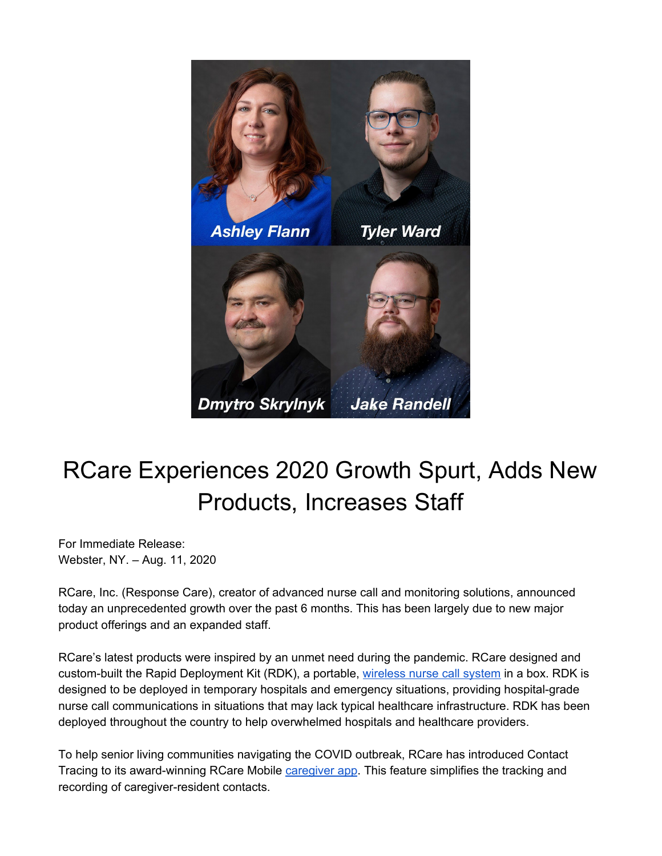

## RCare Experiences 2020 Growth Spurt, Adds New Products, Increases Staff

For Immediate Release: Webster, NY. – Aug. 11, 2020

RCare, Inc. (Response Care), creator of advanced nurse call and monitoring solutions, announced today an unprecedented growth over the past 6 months. This has been largely due to new major product offerings and an expanded staff.

RCare's latest products were inspired by an unmet need during the pandemic. RCare designed and custom-built the Rapid Deployment Kit (RDK), a portable, [wireless](https://rcareinc.com/products/rapid-deployment-kit/) nurse call system in a box. RDK is designed to be deployed in temporary hospitals and emergency situations, providing hospital-grade nurse call communications in situations that may lack typical healthcare infrastructure. RDK has been deployed throughout the country to help overwhelmed hospitals and healthcare providers.

To help senior living communities navigating the COVID outbreak, RCare has introduced Contact Tracing to its award-winning RCare Mobile *[caregiver](https://rcareinc.com/products/rcare-mobile/) app*. This feature simplifies the tracking and recording of caregiver-resident contacts.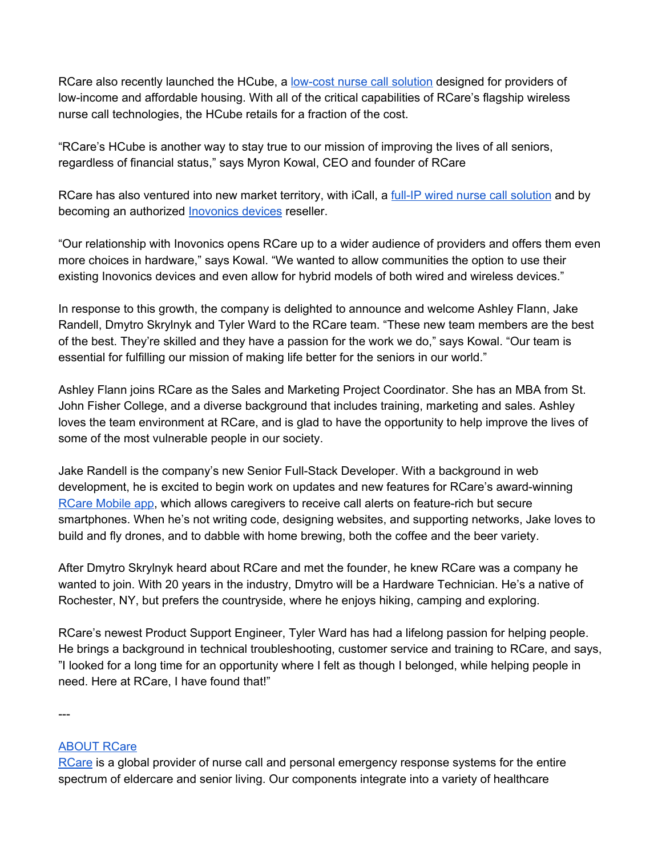RCare also recently launched the HCube, a [low-cost](https://rcareinc.com/products/hcube/) nurse call solution designed for providers of low-income and affordable housing. With all of the critical capabilities of RCare's flagship wireless nurse call technologies, the HCube retails for a fraction of the cost.

"RCare's HCube is another way to stay true to our mission of improving the lives of all seniors, regardless of financial status," says Myron Kowal, CEO and founder of RCare

RCare has also ventured into new market territory, with iCall, a full-IP wired nurse call [solution](https://rcareinc.com/products/icall/) and by becoming an authorized [Inovonics](https://rcareinc.com/products/inovonics-integration/) devices reseller.

"Our relationship with Inovonics opens RCare up to a wider audience of providers and offers them even more choices in hardware," says Kowal. "We wanted to allow communities the option to use their existing Inovonics devices and even allow for hybrid models of both wired and wireless devices."

In response to this growth, the company is delighted to announce and welcome Ashley Flann, Jake Randell, Dmytro Skrylnyk and Tyler Ward to the RCare team. "These new team members are the best of the best. They're skilled and they have a passion for the work we do," says Kowal. "Our team is essential for fulfilling our mission of making life better for the seniors in our world."

Ashley Flann joins RCare as the Sales and Marketing Project Coordinator. She has an MBA from St. John Fisher College, and a diverse background that includes training, marketing and sales. Ashley loves the team environment at RCare, and is glad to have the opportunity to help improve the lives of some of the most vulnerable people in our society.

Jake Randell is the company's new Senior Full-Stack Developer. With a background in web development, he is excited to begin work on updates and new features for RCare's award-winning RCare [Mobile](https://rcareinc.com/products/rcare-mobile/) app, which allows caregivers to receive call alerts on feature-rich but secure smartphones. When he's not writing code, designing websites, and supporting networks, Jake loves to build and fly drones, and to dabble with home brewing, both the coffee and the beer variety.

After Dmytro Skrylnyk heard about RCare and met the founder, he knew RCare was a company he wanted to join. With 20 years in the industry, Dmytro will be a Hardware Technician. He's a native of Rochester, NY, but prefers the countryside, where he enjoys hiking, camping and exploring.

RCare's newest Product Support Engineer, Tyler Ward has had a lifelong passion for helping people. He brings a background in technical troubleshooting, customer service and training to RCare, and says, "I looked for a long time for an opportunity where I felt as though I belonged, while helping people in need. Here at RCare, I have found that!"

---

## [ABOUT](http://rcareinc.com/) RCare

[RCare](https://rcareinc.com/) is a global provider of nurse call and personal emergency response systems for the entire spectrum of eldercare and senior living. Our components integrate into a variety of healthcare